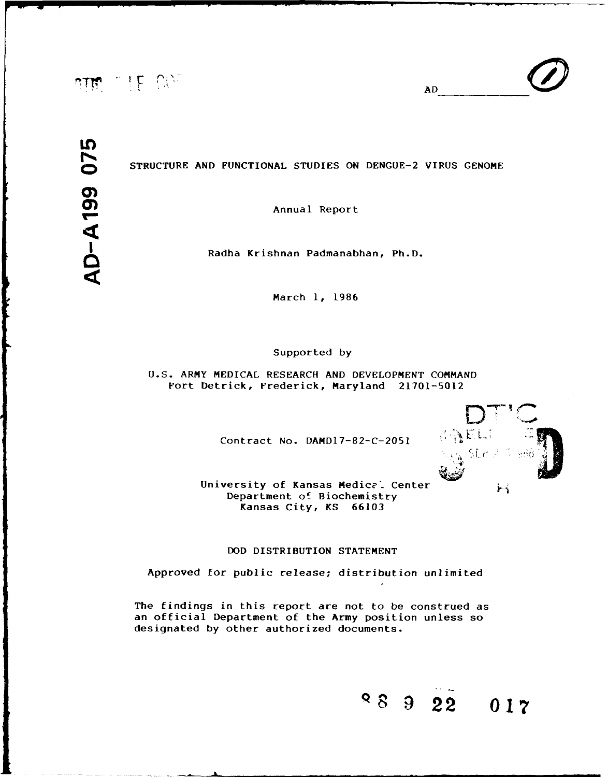# arm wife Cha

 $AD$ 

### **oSTRUCTURE AND** FUNCTIONAL **STUDIES** ON **DENGUE-2** VIRUS GENOME

Radha Krishnan Padmanabhan, Ph.D.

March **1,** 1986

### Supported **by**

U.S. ARMY MEDICAL RESEARCH AND DEVELOPMENT COMMAND Fort Detrick, Frederick, Maryland 21701-5012

Contract No. **DAMDl7-82-C-2051**



University of Kansas Medical Center Department of Biochemistry Kansas City, KS 66103

### **DOD** DISTRIBUTION STATEMENT

Approved for public release; distribution unlimited

The findings in this report are not to be construed as an official Department of the Army position unless so designated by other authorized documents.

**90** 2 **22 017**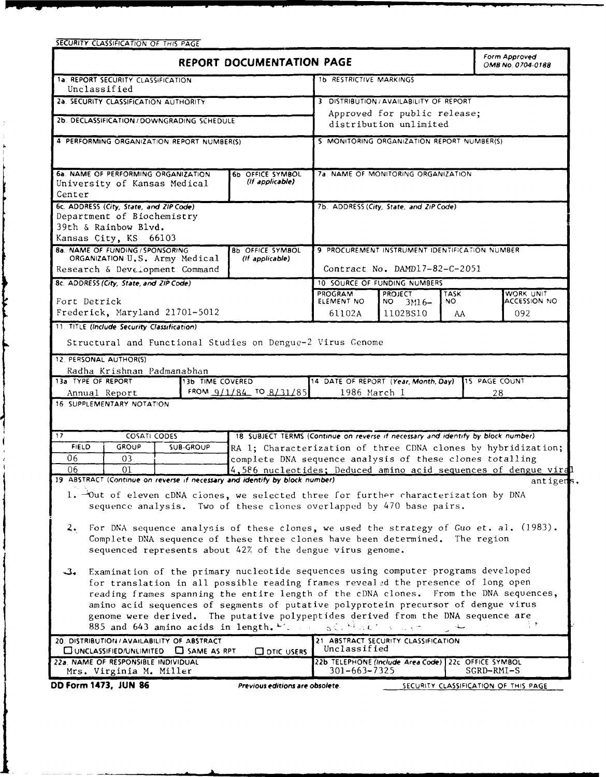| SECURITY CLASSIFICATION OF THIS PAGE                                                                                                                                        |                                                                                   |                                                        |                                                      |             |                                                                             |
|-----------------------------------------------------------------------------------------------------------------------------------------------------------------------------|-----------------------------------------------------------------------------------|--------------------------------------------------------|------------------------------------------------------|-------------|-----------------------------------------------------------------------------|
|                                                                                                                                                                             | <b>REPORT DOCUMENTATION PAGE</b>                                                  |                                                        |                                                      |             | Form Approved<br>OMB No. 0704-0188                                          |
| 1a. REPORT SECURITY CLASSIFICATION<br>Unclassified                                                                                                                          |                                                                                   | 1b RESTRICTIVE MARKINGS                                |                                                      |             |                                                                             |
| 2a. SECURITY CLASSIFICATION AUTHORITY                                                                                                                                       |                                                                                   |                                                        | 3 DISTRIBUTION / AVAILABILITY OF REPORT              |             |                                                                             |
| 2b. DECLASSIFICATION/DOWNGRADING SCHEDULE                                                                                                                                   |                                                                                   | Approved for public release;<br>distribution unlimited |                                                      |             |                                                                             |
| 4 PERFORMING ORGANIZATION REPORT NUMBER(S)                                                                                                                                  |                                                                                   | 5 MONITORING ORGANIZATION REPORT NUMBER(S)             |                                                      |             |                                                                             |
|                                                                                                                                                                             |                                                                                   |                                                        |                                                      |             |                                                                             |
| 6a. NAME OF PERFORMING ORGANIZATION<br>6b OFFICE SYMBOL<br>(If applicable)<br>University of Kansas Medical                                                                  |                                                                                   | 7a. NAME OF MONITORING ORGANIZATION                    |                                                      |             |                                                                             |
| Center                                                                                                                                                                      |                                                                                   |                                                        |                                                      |             |                                                                             |
| 6c. ADDRESS (City, State, and ZIP Code)<br>Department of Biochemistry                                                                                                       |                                                                                   |                                                        | 7b. ADDRESS (City, State, and ZiP Code)              |             |                                                                             |
| 39th & Rainbow Blvd.                                                                                                                                                        |                                                                                   |                                                        |                                                      |             |                                                                             |
| Kansas City, KS 66103<br><b>8a. NAME OF FUNDING / SPONSORING</b>                                                                                                            | 8b. OFFICE SYMBOL                                                                 |                                                        | 9. PROCUREMENT INSTRUMENT IDENTIFICATION NUMBER      |             |                                                                             |
| ORGANIZATION U.S. Army Medical                                                                                                                                              | (if applicable)                                                                   |                                                        |                                                      |             |                                                                             |
| Research & Development Command                                                                                                                                              |                                                                                   |                                                        | Contract No. DAMD17-82-C-2051                        |             |                                                                             |
| 8c. ADDRESS (City, State, and ZIP Code)                                                                                                                                     |                                                                                   | <b>PROGRAM</b>                                         | 10. SOURCE OF FUNDING NUMBERS<br><b>PROJECT</b>      | <b>TASK</b> | WORK UNIT                                                                   |
| Fort Detrick                                                                                                                                                                |                                                                                   | ELEMENT NO                                             | $NO$ $3M16-$                                         | NO.         | <b>ACCESSION NO</b>                                                         |
| Frederick, Maryland 21701-5012                                                                                                                                              |                                                                                   | 61102A                                                 | 1102BS10                                             | AA          | 092                                                                         |
| 11. TITLE (Include Security Classification)                                                                                                                                 |                                                                                   |                                                        |                                                      |             |                                                                             |
| Structural and Functional Studies on Dengue-2 Virus Genome                                                                                                                  |                                                                                   |                                                        |                                                      |             |                                                                             |
| 12. PERSONAL AUTHOR(S)                                                                                                                                                      |                                                                                   |                                                        |                                                      |             |                                                                             |
| Radha Krishnan Padmanabhan<br>13a TYPE OF REPORT<br>13b TIME COVERED<br>14 DATE OF REPORT (Year, Month, Day)<br>15 PAGE COUNT                                               |                                                                                   |                                                        |                                                      |             |                                                                             |
| Annual Report                                                                                                                                                               | FROM 9/1/84 TO 8/31/85                                                            | 1986 March 1                                           |                                                      |             | 28                                                                          |
| 16. SUPPLEMENTARY NOTATION                                                                                                                                                  |                                                                                   |                                                        |                                                      |             |                                                                             |
| 17<br><b>COSATI CODES</b>                                                                                                                                                   | 18. SUBJECT TERMS (Continue on reverse if necessary and identify by block number) |                                                        |                                                      |             |                                                                             |
| <b>FIELD</b><br><b>GROUP</b><br><b>SUB-GROUP</b><br>RA 1; Characterization of three CDNA clones by hybridization;                                                           |                                                                                   |                                                        |                                                      |             |                                                                             |
| 06<br>03                                                                                                                                                                    | complete DNA sequence analysis of these clones totalling                          |                                                        |                                                      |             |                                                                             |
| 01<br>06<br>19 ABSTRACT (Continue on reverse if necessary and identify by block number)                                                                                     |                                                                                   |                                                        |                                                      |             | 4,586 nucleotides; Deduced amino acid sequences of dengue viral<br>antigens |
| 1. Out of eleven cDNA ciones, we selected three for further characterization by DNA                                                                                         |                                                                                   |                                                        |                                                      |             |                                                                             |
| sequence analysis. Two of these clones overlapped by 470 base pairs.                                                                                                        |                                                                                   |                                                        |                                                      |             |                                                                             |
| For DNA sequence analysis of these clones, we used the strategy of Guo et. al. (1983).<br>$\mathbf{2.}$                                                                     |                                                                                   |                                                        |                                                      |             |                                                                             |
| Complete DNA sequence of these three clones have been determined. The region                                                                                                |                                                                                   |                                                        |                                                      |             |                                                                             |
| sequenced represents about 42% of the dengue virus genome.                                                                                                                  |                                                                                   |                                                        |                                                      |             |                                                                             |
| Examination of the primary nucleotide sequences using computer programs developed<br>مگ                                                                                     |                                                                                   |                                                        |                                                      |             |                                                                             |
| for translation in all possible reading frames revealed the presence of long open                                                                                           |                                                                                   |                                                        |                                                      |             |                                                                             |
| reading frames spanning the entire length of the cDNA clones. From the DNA sequences,<br>amino acid sequences of segments of putative polyprotein precursor of dengue virus |                                                                                   |                                                        |                                                      |             |                                                                             |
| genome were derived. The putative polypeptides derived from the DNA sequence are                                                                                            |                                                                                   |                                                        |                                                      |             |                                                                             |
| 885 and 643 amino acids in length. We have $\mathbb{R}^2$ . We have a set of the set                                                                                        |                                                                                   |                                                        |                                                      |             |                                                                             |
| 20. DISTRIBUTION / AVAILABILITY OF ABSTRACT<br>21 ABSTRACT SECURITY CLASSIFICATION<br>Unclassified<br>UNCLASSIFIED/UNLIMITED USAME AS RPT.<br><b>CO DTIC USERS</b>          |                                                                                   |                                                        |                                                      |             |                                                                             |
| 22a. NAME OF RESPONSIBLE INDIVIDUAL                                                                                                                                         |                                                                                   | 301-663-7325                                           | 22b. TELEPHONE (Include Area Code) 22c OFFICE SYMBOL |             | SGRD-RMI-S                                                                  |
| Mrs. Virginia M. Miller<br>DD Form 1473, JUN 86                                                                                                                             | Previous editions are obsolete.                                                   |                                                        |                                                      |             | SECURITY CLASSIFICATION OF THIS PAGE                                        |
|                                                                                                                                                                             |                                                                                   |                                                        |                                                      |             |                                                                             |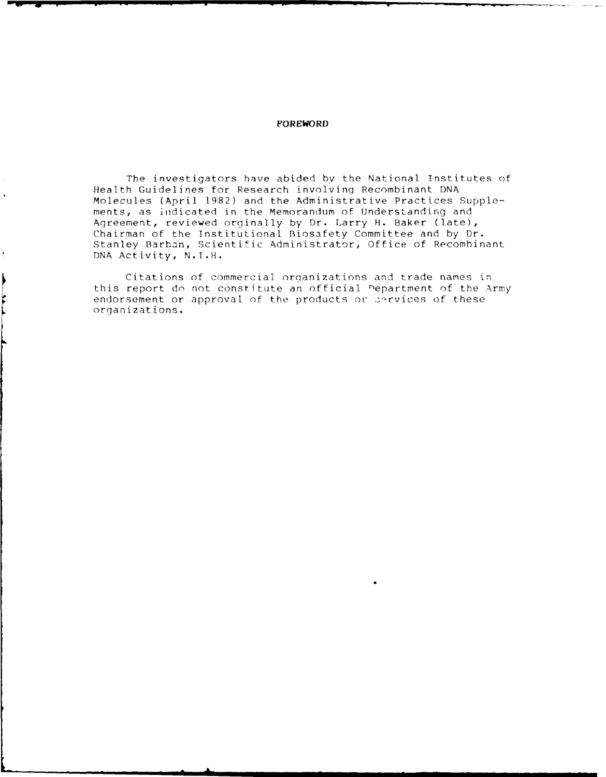### **FOREWORD**

The investigators have abided by the National Institutes of Health Guidelines for Research involving Recombinant DNA Molecules (April 1982) and the Administrative Practices Supplements, as indicated in the Memorandum of Understanding and Agreement, reviewed orginaily by Dr. Larry H. Baker (late), Chairman of the Institutional Biosafety Committee and by Dr. Stanley Barban, Scientific Administrator, Office of Recombinant DNA Activity, N.I.H.

Citations of commercial organizations and trade names in this report do not constitute an official nepartment of the Army endorsement or approval of the products or services of these organizations.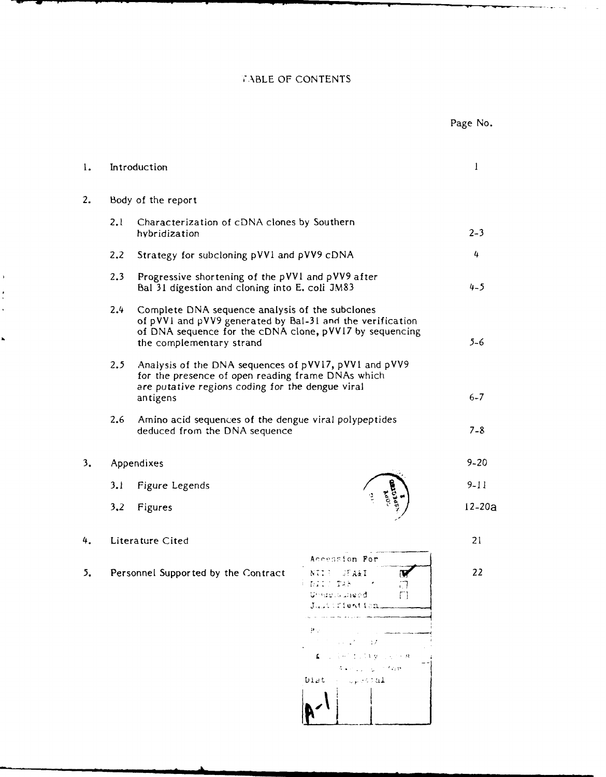### **,"ABLE** OF CONTENTS

|                                           |      |                                                                                                                                                                                                     |                                                                                                        | Page No.   |
|-------------------------------------------|------|-----------------------------------------------------------------------------------------------------------------------------------------------------------------------------------------------------|--------------------------------------------------------------------------------------------------------|------------|
| 1.                                        |      | Introduction                                                                                                                                                                                        |                                                                                                        | 1          |
| 2.                                        |      | Body of the report                                                                                                                                                                                  |                                                                                                        |            |
|                                           | 2.1  | Characterization of cDNA clones by Southern<br>hybridization                                                                                                                                        |                                                                                                        | $2 - 3$    |
|                                           | 2,2  | Strategy for subcloning pVV1 and pVV9 cDNA                                                                                                                                                          |                                                                                                        | 4          |
|                                           | 2.3  | Progressive shortening of the pVV1 and pVV9 after<br>Bal 31 digestion and cloning into E. coli JM83                                                                                                 | $4 - 5$                                                                                                |            |
|                                           | 2.4  | Complete DNA sequence analysis of the subclones<br>of pVV1 and pVV9 generated by BaI-31 and the verification<br>of DNA sequence for the cDNA clone, pVV17 by sequencing<br>the complementary strand |                                                                                                        |            |
|                                           | 2, 5 | Analysis of the DNA sequences of pVV17, pVV1 and pVV9<br>for the presence of open reading frame DNAs which<br>are putative regions coding for the dengue viral<br>antigens                          |                                                                                                        | $6 - 7$    |
|                                           | 2.6  | Amino acid sequences of the dengue viral polypeptides<br>deduced from the DNA sequence                                                                                                              | $7 - 8$                                                                                                |            |
| 3.                                        |      | Appendixes                                                                                                                                                                                          |                                                                                                        | $9 - 20$   |
|                                           | 3.1  | Figure Legends                                                                                                                                                                                      |                                                                                                        | $9 - 11$   |
|                                           | 3,2  | Figures                                                                                                                                                                                             |                                                                                                        | $12 - 205$ |
| 4.                                        |      | Literature Cited                                                                                                                                                                                    |                                                                                                        | 21         |
| Personnel Supported by the Contract<br>5. |      |                                                                                                                                                                                                     | Accession For<br>NUEL FA&I<br>A DIIS TAN<br>ιİ<br>Unisquisible ed<br>Γl<br>Justifiantion.              | 22         |
|                                           |      |                                                                                                                                                                                                     | Pν<br>アーケーション アーバル<br><b>A</b> conservation to the property of<br>Autor Line Control<br>Dist - Special |            |

 $\bar{1}$  $\overline{a}$ 

L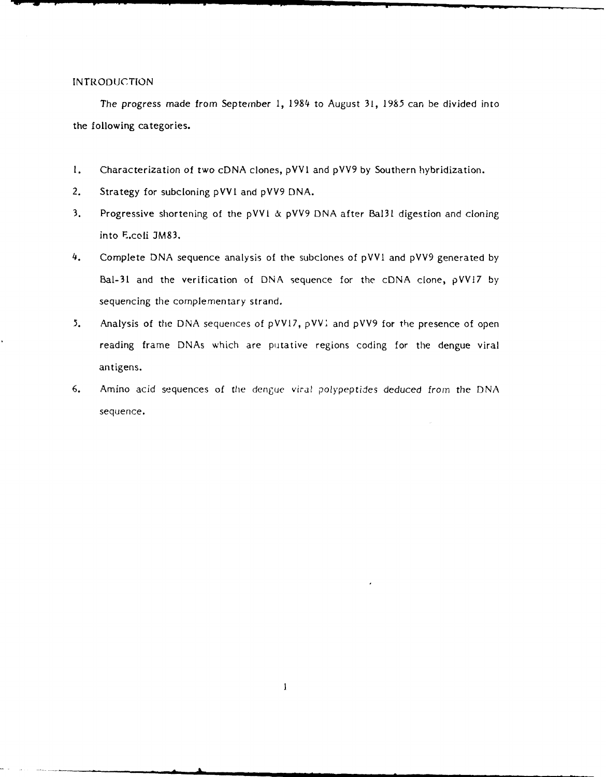### INTRODUCTION

The progress made from September 1, 1984 to August 31, 1985 can be divided into the following categories.

- 1. Characterization of two cDNA clones, pVVI and pVV9 by Southern hybridization.
- 2. Strategy for subcloning pVVI and pVV9 DNA.
- 3. Progressive shortening of the pVVI & pVV9 DNA after Bal31 digestion and cloning into E.coli 3M83.
- 4. Complete DNA sequence analysis of the subclones of pVVI and pVV9 generated by Bal-31 and the verification of DNA sequence for the cDNA clone, pVVI7 by sequencing the complementary strand.
- 5. Analysis of the DNA sequences of pVV17, pVV1 and pVV9 for the presence of open reading frame DNAs which are putative regions coding for the dengue viral antigens.
- 6. Amino acid sequences of the dengue viral polypeptides deduced *from* the DNA sequence.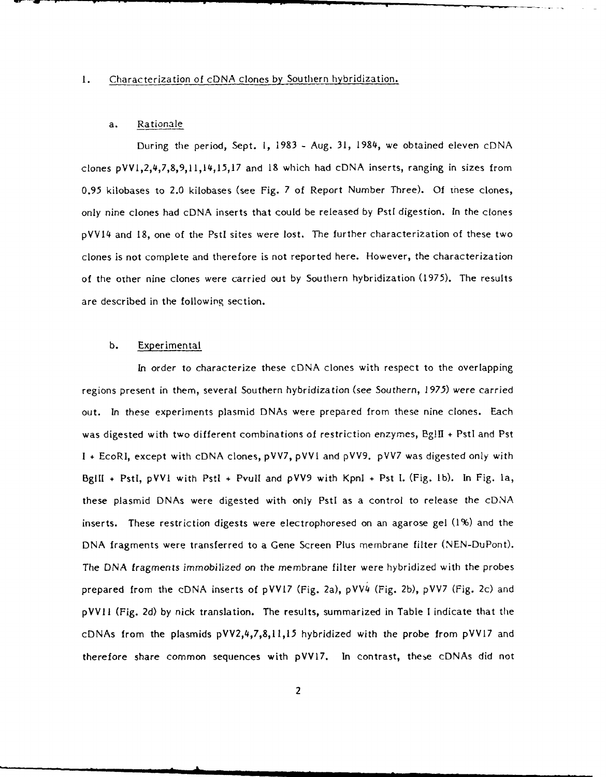### **1.** Characterization of cDNA clones by Southern hybridization.

### a. Rationale

During the period, Sept. **1,** 1983 - Aug. **31,** 1984, we obtained eleven cDNA clones pVV1,2,4,7,8,9,11,14,15,17 and 18 which had cDNA inserts, ranging in sizes from 0.95 kilobases to 2.0 kilobases (see Fig. 7 of Report Number Three). **Of** these clones, only nine clones had cDNA inserts that could be released by PstI digestion. In the clones pVV14 and **18,** one of the Pstl sites were lost. The further characterization of these two clones is not complete and therefore is not reported here. However, the characterization of the other nine clones were carried out by Southern hybridization (1975). The results are described in the following section.

### b. Experimental

In order to characterize these cDNA clones with respect to the overlapping regions present in them, several Southern hybridization (see Southern, 1975) were carried out. In these experiments plasmid DNAs were prepared from these nine clones. Each was digested with two different combinations of restriction enzymes, BgIll **+** Pstl and Pst **1 +** EcoRl, except with cDNA clones, pVV7, pVVI and pVV9. pVV7 was digested only with BgIII + PstI, pVV1 with PstI + PvuII and pVV9 with KpnI + Pst I. (Fig. 1b). In Fig. 1a, these plasmid DNAs were digested with only Pstl as a control to release the cDNA inserts. These restriction digests were electrophoresed on an agarose gel (1%) and the DNA fragments were transferred to a Gene Screen Plus membrane filter (NEN-DuPont). The DNA fragments immobilized on the membrane filter were hybridized with the probes prepared from the cDNA inserts of pVV17 (Fig. 2a), pVV4 (Fig. 2b), pVV7 (Fig. 2c) and pVVII (Fig. 2d) by nick translation. The results, summarized in Table I indicate that the cDNAs from the plasmids pVV2,4,7,8,11,15 hybridized with the probe from pVVI7 and therefore share common sequences with pVV17. In contrast, these cDNAs did not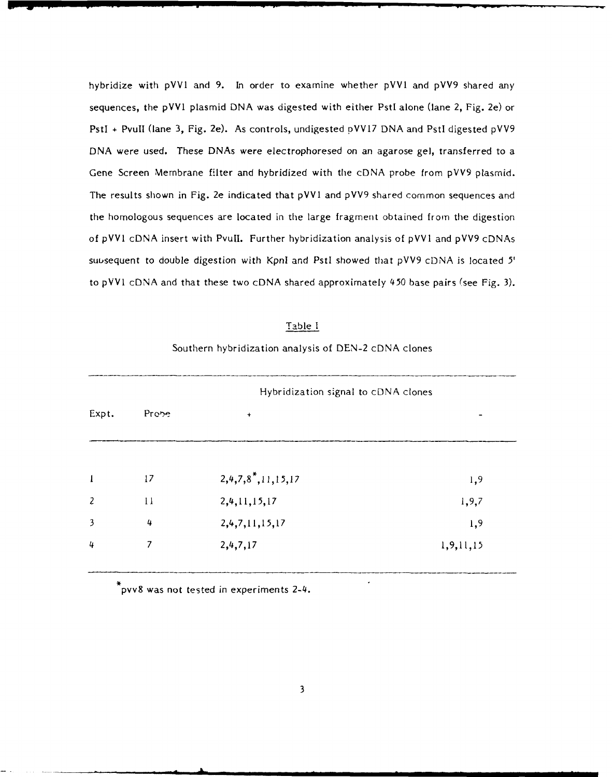hybridize with pVV1 and 9. In order to examine whether pVV1 and pVV9 shared any sequences, the pVVI plasmid DNA was digested with either Pstl alone (lane 2, Fig. 2e) or PstI + PvuII (lane 3, Fig. 2e). As controls, undigested pVV17 DNA and PstI digested pVV9 DNA were used. These DNAs were electrophoresed on an agarose gel, transferred to a Gene Screen Membrane filter and hybridized with the cDNA probe from pVV9 plasmid. The results shown in Fig. 2e indicated that pVV1 and pVV9 shared common sequences and the homologous sequences are located in the large fragment obtained from the digestion of pVV1 cDNA insert with Pvull. Further hybridization analysis **of** pVVl and pVV9 cDNAs suusequent to double digestion with KpnI and Pstl showed that pVV9 cDNA is located 5' to pVV1 cDNA and that these two cDNA shared approximately 450 base pairs (see Fig. 3).

### Table I

### Southern hybridization analysis of DEN-2 cDNA clones

|                | Hybridization signal to cDNA clones |                  |              |
|----------------|-------------------------------------|------------------|--------------|
| Expt.          | Prope                               | $\ddot{}$        |              |
|                |                                     |                  |              |
| $\mathbf{I}$   | 17                                  | 2,4,7,8,11,15,17 | 1,9          |
| $\overline{c}$ | 11                                  | 2,4,11,15,17     | 1, 9, 7      |
| 3              | 4                                   | 2,4,7,11,15,17   | 1,9          |
| 4              | 7                                   | 2,4,7,17         | 1, 9, 11, 15 |
|                |                                     |                  |              |

pvv8 was not tested in experiments 2-4.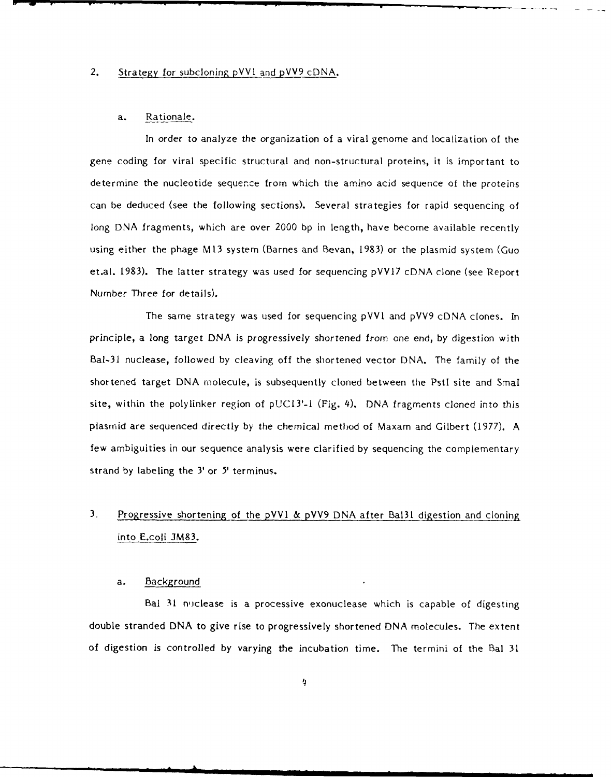### 2. Strategy for subcloning pVVI and pVV9 cDNA.

### a. Rationale.

In order to analyze the organization of a viral genome and localization of the gene coding for viral specific structural and non-structural proteins, it is important to determine the nucleotide sequer.ce from which the amino acid sequence of the proteins can be deduced (see the following sections). Several strategies for rapid sequencing of long DNA fragments, which are over 2000 bp in length, have become available recently using either the phage M13 system (Barnes and Bevan, 1983) or the plasmid system (Guo et.al. 1983). The latter strategy was used for sequencing pVV17 cDNA clone (see Report Number Three for details).

The same strategy was used for sequencing pVV1 and pVV9 cDNA clones. In principle, a long target DNA is progressively shortened from one end, by digestion with Bal-31 nuclease, followed by cleaving off the shortened vector DNA. The family of the shortened target DNA molecule, is subsequently cloned between the PstI site and SmaI site, within the polylinker region of  $pUC13'-1$  (Fig. 4). DNA fragments cloned into this plasmid are sequenced directly by the chemical method of Maxam and Gilbert (1977). A few ambiguities in our sequence analysis were clarified by sequencing the compiementary strand by labeling the 3' or **5'** terminus.

## 3, Progressive shortening of the **pVV1** & **pVV9** DNA after Bal3l digestion and cloning into E.coli JM83.

### a. Background

Bal 31 niclease is a processive exonuclease which is capable of digesting double stranded DNA to give rise to progressively shortened DNA molecules. The extent of digestion is controlled by varying the incubation time. The termini of the Bal 31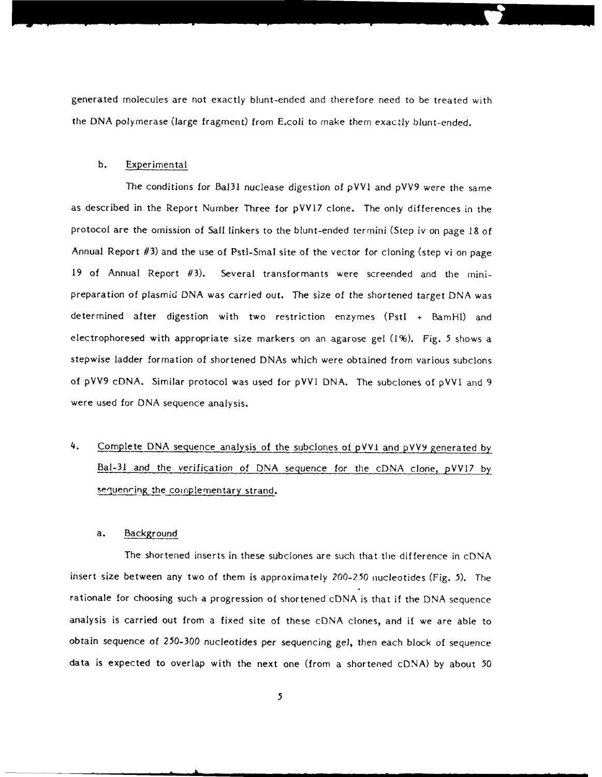generated molecules are not exactly blunt-ended and therefore need to be treated with the DNA polymerase (large fragment) from E.coli to make them exactly blunt-ended.

### b. Experimental

The conditions for Bal3l nuclease digestion of pVVI and pVV9 were the same as described in the Report Number Three for pVVI7 clone. The only differences in the protocol are the omission of Sall linkers to the blunt-ended termini (Step iv on page 18 of Annual Report **#3)** and the use of Pstl-Smal site of the vector for cloning (step vi on page 19 of Annual Report **/3).** Several transformants were screended and the minipreparation of plasmic; DNA was carried out. The size of the shortened target DNA was determined after digestion with two restriction enzymes (Pstl + BamHI) and electrophoresed with appropriate size markers on an agarose gel (1%). Fig. 5 shows a stepwise ladder formation of shortened DNAs which were obtained from various subclons of pVV9 cDNA. Similar protocol was used for pVV1 DNA. The subclones of pVVI and 9 were used for DNA sequence analysis.

# 4. Complete DNA sequence analysis of the subclones of pVVI and pVV9 generated by Bal-31 and the verification of DNA sequence for the cDNA clone, pVV17 by sequencing the complementary strand.

### a. Background

The shortened inserts in these subclones are such that the difference in cDNA insert size between any two of them is approximately 200-250 nucleotides (Fig. **5).** The rationale for choosing such a progression of shortened cDNA is that if the DNA sequence analysis is carried out from a fixed site of these cDNA clones, and if we are able to obtain sequence of 250-300 nucleotides per sequencing gel, then each block of sequence data is expected to overlap with the next one (from a shortened cDNA) by about 50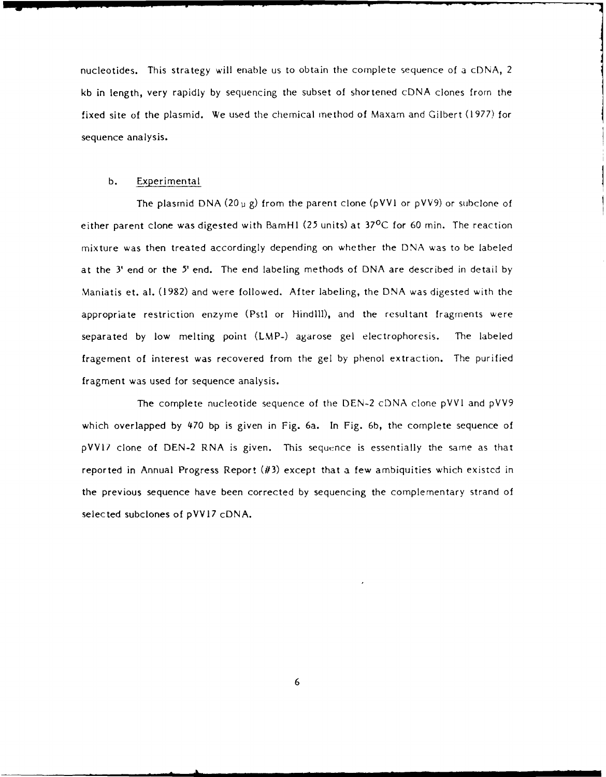nucleotides. This strategy will enable us to obtain the complete sequence of a cDNA, 2 kb in length, very rapidly by sequencing the subset of shortened cDNA clones from the fixed site of the plasmid. We used the chemical method of Maxam and Gilbert (1977) for sequence analysis.

### b. Experimental

The plasmid DNA (20  $\mu$  g) from the parent clone (pVV1 or pVV9) or subclone of either parent clone was digested with BamHl (25 units) at 37°C for 60 min. The reaction mixture was then treated accordingly depending on whether the **DNA** was to be labeled at the 3' end or the 5' end. The end labeling methods of DNA are described in detail by Maniatis et. al. (1982) and were followed. After labeling, the DNA was digested with the appropriate restriction enzyme (Pstl or HindlIl), and the resultant fragments were separated by low melting point (LMP-) agarose gel electrophoresis. The labeled fragement of interest was recovered from the gel by phenol extraction. The purified fragment was used for sequence analysis.

The complete nucleotide sequence of the DEN-2 cDNA clone pVVl and pVV9 which overlapped by 470 bp is given in Fig. 6a. In Fig. 6b, the complete sequence of pVV17 clone of DEN-2 RNA is given. This sequence is essentially the same as that reported in Annual Progress Report  $(\#3)$  except that a few ambiquities which existed in the previous sequence have been corrected by sequencing the complementary strand of selected subclones of pVVI7 cDNA.

**6**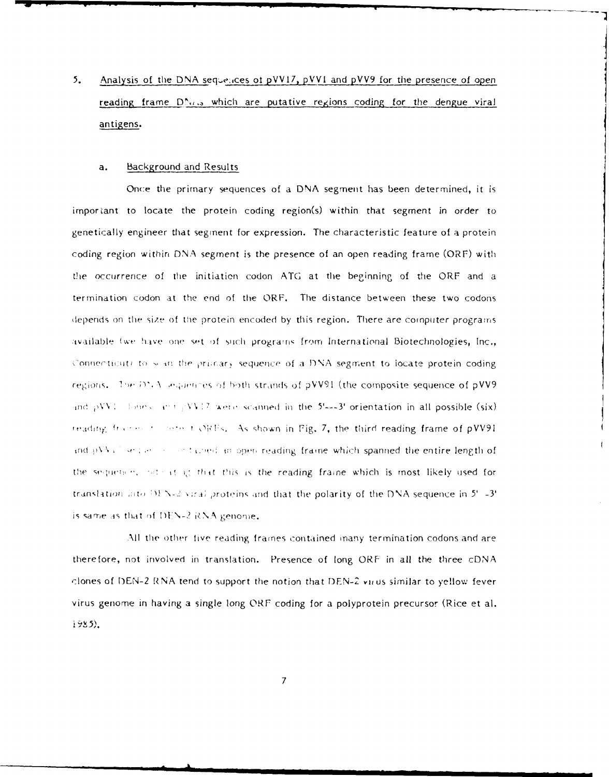$5<sub>1</sub>$ Analysis of the DNA sequences of pVV17, pVV1 and pVV9 for the presence of open reading frame DNAs which are putative regions coding for the dengue viral antigens.

#### Background and Results  $\mathbf{a}$ .

Once the primary sequences of a DNA segment has been determined, it is important to locate the protein coding region(s) within that segment in order to genetically engineer that segment for expression. The characteristic feature of a protein coding region within DNA segment is the presence of an open reading frame (ORF) with the occurrence of the initiation codon ATG at the beginning of the ORF and a termination codon at the end of the ORF. The distance between these two codons depends on the size of the protein encoded by this region. There are computer programs available (we have one set of such programs from International Biotechnologies, Inc., Connecticut) to sean the primary sequence of a DNA segment to locate protein coding regions. The DNA lequences of both strands of pVV91 (the composite sequence of pVV9 and  $pVV$ : Fones and  $pVV$ : Twene scanned in the 5'---3' orientation in all possible (six) reading frames to some to DREs. As shown in Fig. 7, the third reading frame of pVV91 and pVV all sequence of tained an open reading frame which spanned the entire length of the sequence, not cat up that this is the reading frame which is most likely used for translation into  $DFN-2$  viral proteins and that the polarity of the DNA sequence in  $5^{\circ}$  -3<sup> $\circ$ </sup> is same as that of DEN-2 RNA genome,

All the other five reading frames contained many termination codons and are therefore, not involved in translation. Presence of long ORF in all the three cDNA clones of DEN-2 RNA tend to support the notion that DEN-2 virus similar to yellow fever virus genome in having a single long ORF coding for a polyprotein precursor (Rice et al.  $1985$ ).

 $\overline{7}$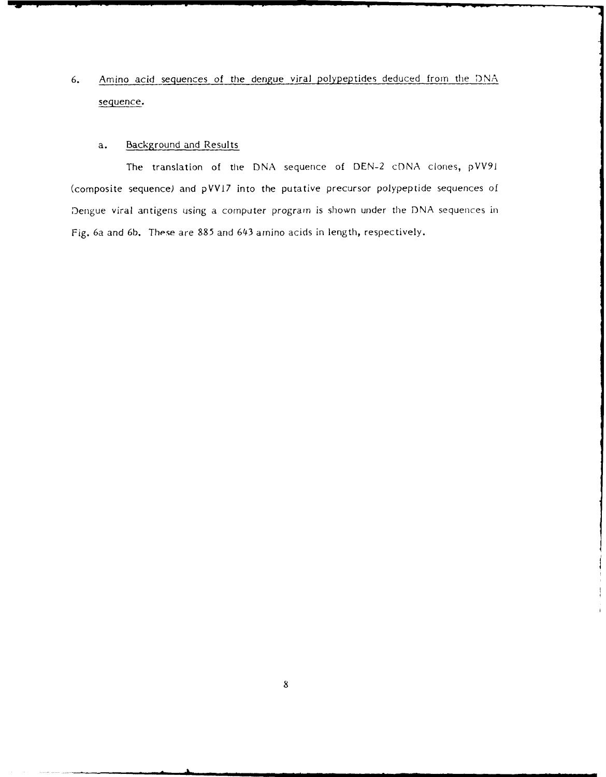**6.** Amino acid sequences of the dengue viral polypeptides deduced from the **DNA** sequence.

### a. Background and Results

The translation of the DNA sequence of DEN-2 cDNA clones, pVV91 (composite sequence) and pVVI7 into the putative precursor polypeptide sequences of Dengue viral antigens using a computer program is shown under the DNA sequences in) Fig. 6a and 6b. These are 885 and 643 amino acids in length, respectively.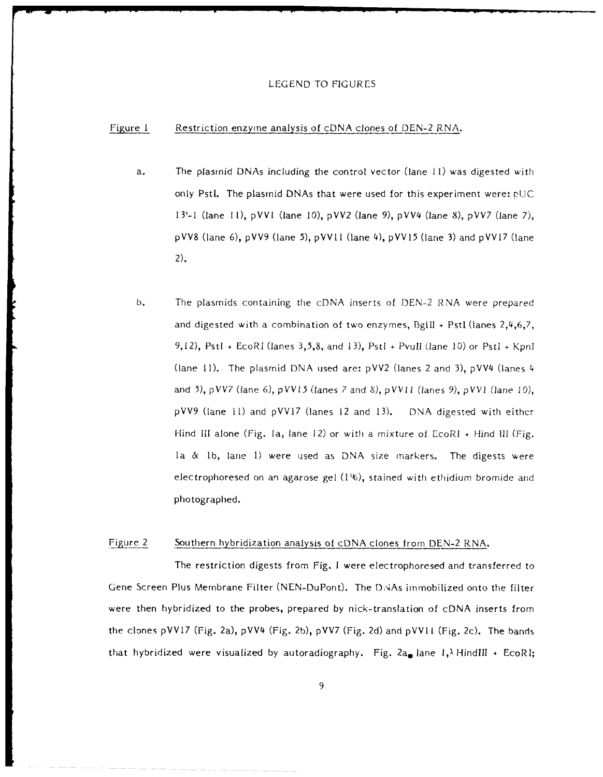### LEGEND TO FIGURES

### Figure 1 Restriction enzyme analysis of cDNA clones of DEN-2 RNA.

- a. The plasmid DNAs including the control vector (lane **11)** was digested with only Pstl. The plasmid DNAs that were used for this experiment were:  $pUC$ 13'-1 (lane **11),** pVVI (lane 10), pVV2 (lane **9),** pVV4 (lane 8), pVV7 (lane 7), pVV8 (lane 6), pVV9 (lane 5), **pVVII** (lane 4), pVV15 (lane 3) and pVV17 (lane 2).
- b. The plasmids containing the cDNA inserts of DEN-2 RNA were prepared and digested with a combination of two enzymes, 1 3g1II **+** PstI (lanes 2,4,6,7, 9,12), Pst[ **+** EcoRI (lanes 3,5,8, and 13), Pstl **+** Pvull (lane 10) or Pstl **+** KpnI (lane **11).** The plasmid DNA used are: pVV2 (lanes 2 and 3), pVV4 (lanes 4 and **5),** pVV7 (lane **6),** pVV15 (lanes 7 and **8), pVVII** (lanes **9),** pVVI (lane **10),** pVV9 (lane 11) and pVVI7 (lanes 12 and 13). DNA digested with eithcr Hind **II** alone (Fig. la, lane 12) or with a mixture of EcoRt **+** Hind **IIl** (Fig. la & **lb,** lane 1) were used as DNA size markers. The digests were electrophoresed on an agarose gel (1%), stained with ethidium bromide and photographed.

### Figure 2 Southern hybridization analysis of cDNA clones from DEN-2 RNA.

The restriction digests from Fig. **I** were electrophoresed and transferred to Gene Screen Plus Membrane Filter (NEN-DuPont). The DNAs immobilized onto the filter were then hybridized to the probes, prepared by nick-translation of cDNA inserts from the clones pVVl7 (Fig. 2a), pVV4 (Fig. 2b), pVV7 (Fig. 2d) and **pVVII** (Fig. 2c). The bands that hybridized were visualized by autoradiography. Fig.  $2a_{\bullet}$  lane  $1,\lambda$  HindIII + EcoRl;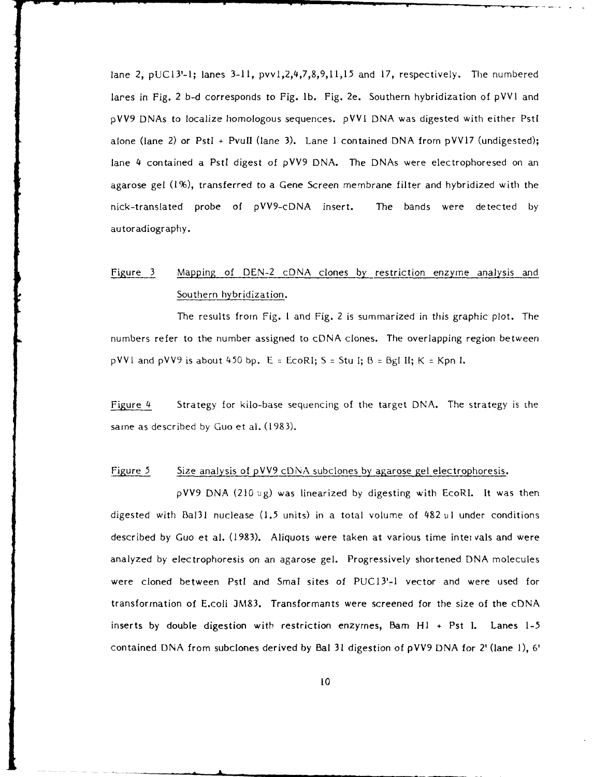lane 2, pUCI3'-I; lanes 3-11, pvvl,2,4,7,8,9,11,15 and 17, respectively. The numbered lares in Fig. 2 b-d corresponds to Fig. lb. Fig. 2e. Southern hybridization of pVV1 and pVV9 DNAs to localize homologous sequences. pVVI DNA was digested with either Pstl alone (lane 2) or Pstl + Pvull (lane 3). Lane I contained DNA from pVV17 (undigested); lane 4 contained a Pstl digest of pVV9 DNA. The DNAs were electrophoresed on an agarose gel (1%), transferred to a Gene Screen membrane filter and hybridized with the nick-translated probe of pVV9-cDNA insert. The bands were detected by autoradiography.

### Figure 3 Mapping of DEN-2 cDNA clones by restriction enzyme analysis and Southern hybridization.

The results from Fig. **I** and Fig. 2 is summarized in this graphic plot. The numbers refer to the number assigned to cDNA clones. The overlapping region between pVVI and pVV9 is about 450 bp.  $E = EcoRI$ ;  $S = Stu I$ ;  $B = Bgl II$ ;  $K = Kpn I$ .

Figure 4 Strategy for kilo-base sequencing of the target DNA. The strategy is the same as described by Guo et al. (1983).

### Figure 5 Size analysis of  $pVV9$  cDNA subclones by agarose gel electrophoresis.

pVV9 DNA (210 ig) was linearized by digesting with EcoRl. It was then digested with Ba131 nuclease (1.5 units) in a total volume of  $482 \text{ }\mu\text{l}$  under conditions described by Guo et al. (1983). Aliquots were taken at various time intervals and were analyzed by electrophoresis on an agarose gel. Progressively shortened DNA molecules were cloned between PstI and SmaI sites of PUC13'-1 vector and were used for transformation of E.coli **M83.** Transformants were screened for the size of the cDNA inserts by double digestion with restriction enzymes, Bam  $H1 + Pst$  I. Lanes 1-5 contained DNA from subclones derived by Bal 31 digestion of pVV9 DNA for 2' (lane 1), 6'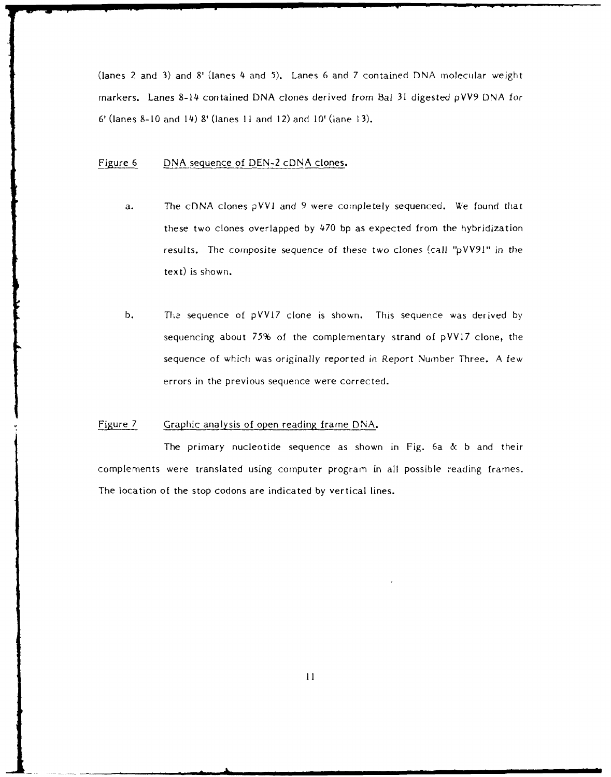(lanes 2 and 3) and **8'** (lanes 4 and 5). Lanes 6 and 7 contained DNA molecular weight markers. Lanes 8-14 contained DNA clones derived from Bal 31 digested pVV9 DNA for 6' (lanes **8-10** and 14) **8'** (lanes **II** and 12) and 10' (lane 13).

### Figure 6 DNA sequence of DEN-2 cDNA clones.

- a. The cDNA clones pVVI and 9 were completely sequenced. We found that these two clones overlapped by 470 bp as expected from the hybridization results. The composite sequence of these two clones (call "pVV9I" in the text) is shown.
- b. The sequence of pVV17 clone is shown. This sequence was derived by sequencing about **75%** of the complementary strand of pVVL7 clone, the sequence of which was originally reported in Report Number Three. A few errors in the previous sequence were corrected.

### Figure 7 Graphic analysis of open reading frame DNA.

The primary nucleotide sequence as shown in Fig. 6a & b and their complements were translated using computer program in all possible reading frames. The location of the stop codons are indicated by vertical lines.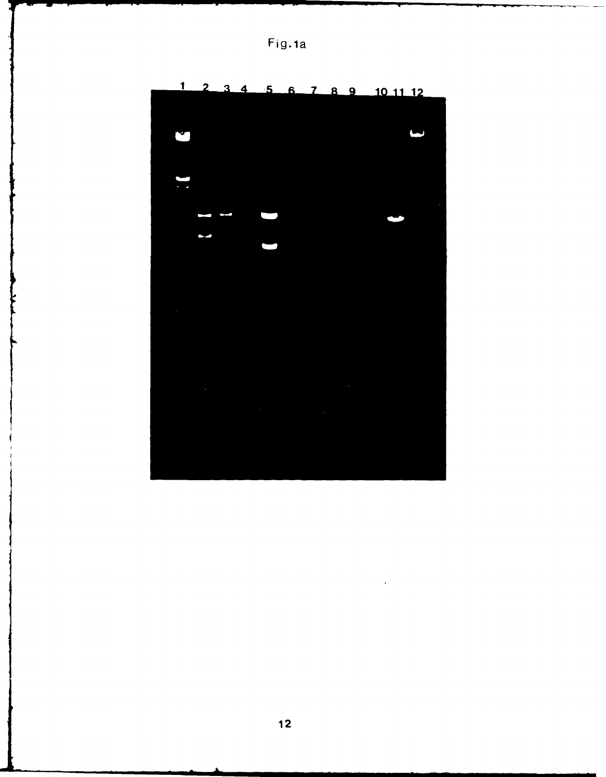|  |  | ۰ | ı<br>٠ | 7<br>L |
|--|--|---|--------|--------|
|--|--|---|--------|--------|



 $\mathcal{A}$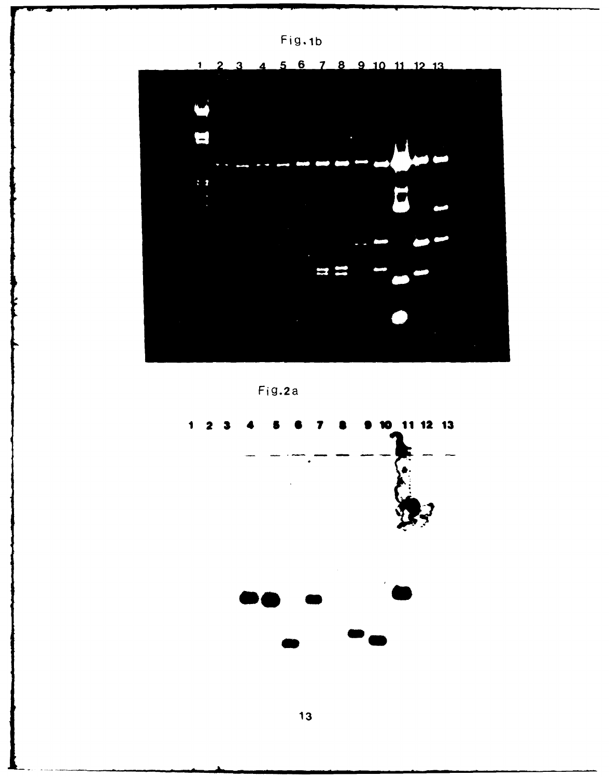



4 5 6 7 8 9 10 11 12 13  $3<sup>1</sup>$ 



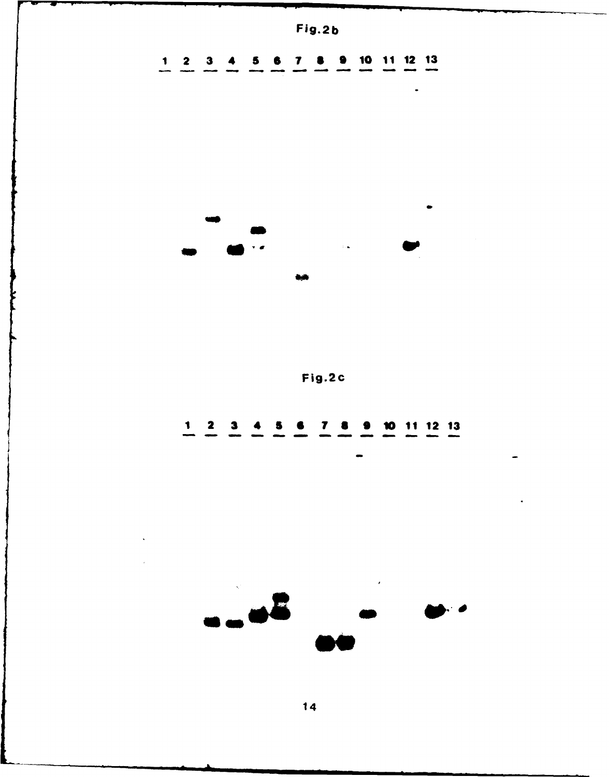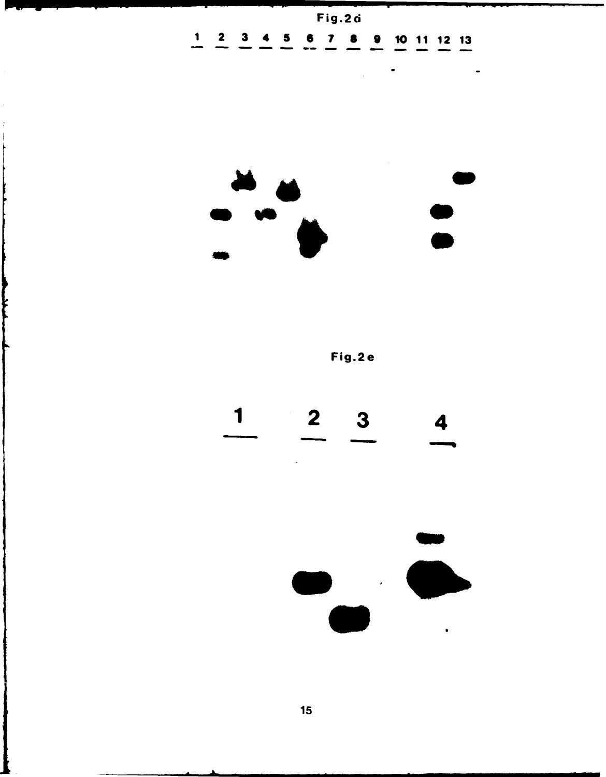Fig.2d 2 **3** 4 **5 6 7 8 9 10 11** 12 **13**

 $\bullet$ 

J.



Fig.2e



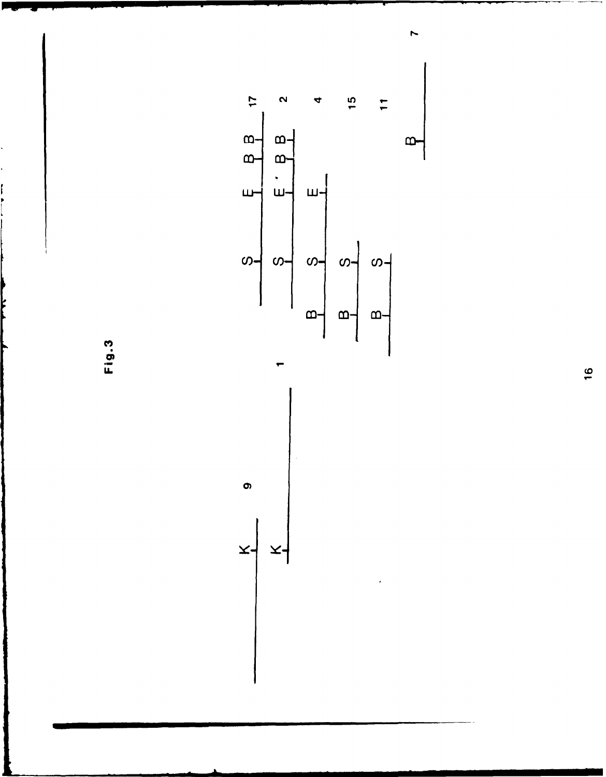Fig.3



 $\bullet$ 

 $\tilde{\mathbf{x}}$ 

X

 $16$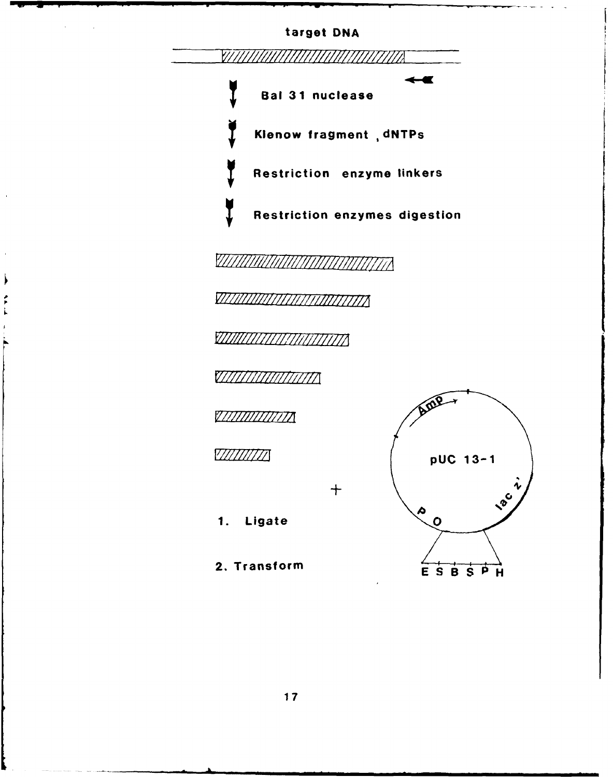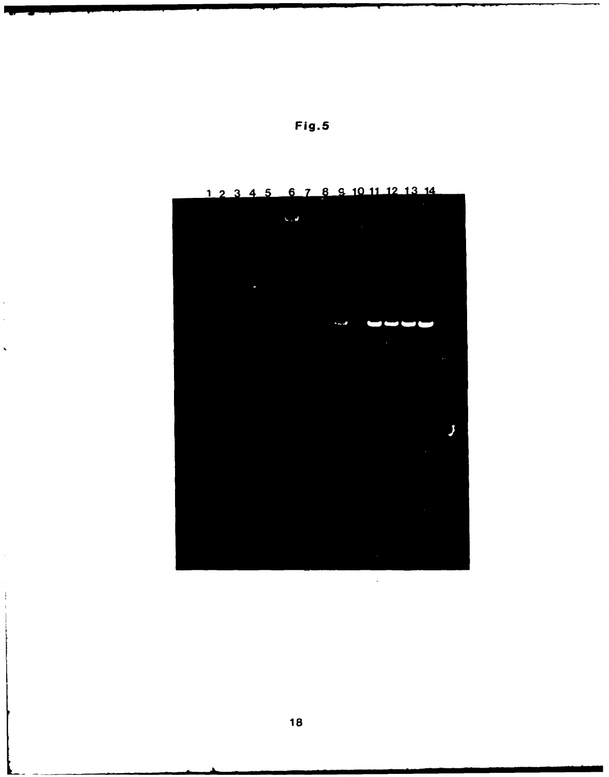

 $\bar{1}$ 

 $\ddot{\phantom{0}}$ 

 $\hat{\mathcal{A}}$ 

 $\ddot{\cdot}$ 

6 7 8 9 10 11 12 13 14  $12$  $4<sub>5</sub>$  $\mathbf{3}$ 

**Fig.5**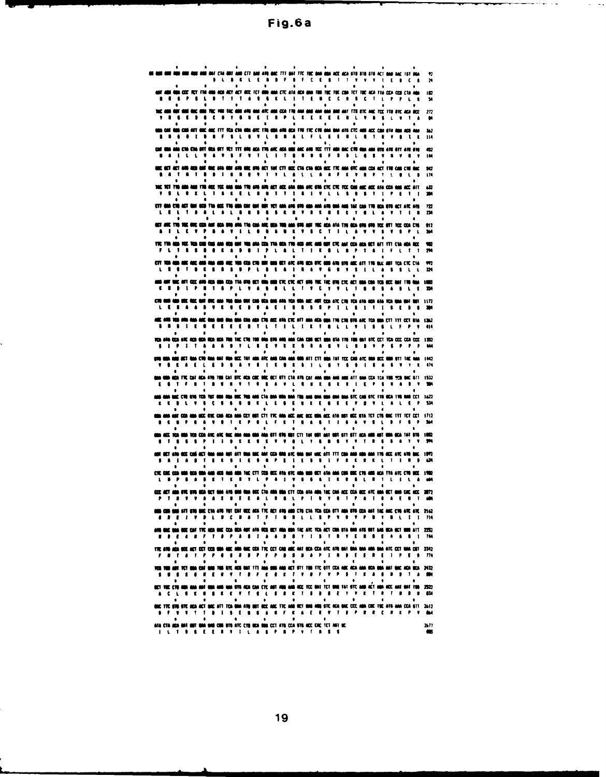Fig.6a

| ٠<br><b>I duu dol ont che dot and cit and and ang ang tit ant tig tug ann una agrad gra ato big ato act and sag tst ag</b>                                                                                                            |                                                                  |
|---------------------------------------------------------------------------------------------------------------------------------------------------------------------------------------------------------------------------------------|------------------------------------------------------------------|
| at ama maa coo key fia ama aca aoy act ace tet ama aaa cyc ata aca aaa taa tao tao caa tet tac aca tta coa cos cha ama                                                                                                                |                                                                  |
| . .<br><b>.</b> .<br>I T E<br>K L                                                                                                                                                                                                     | 182<br>$\cdots$<br>τ<br>54<br>Ł                                  |
| MAT MAR MAC MAN THE THE FAC AND AFG MAN ATC ANN CCA TTO AND MAN AND AND AND ANT TTO BTC ANC TCC TTO BTC ACA ACC<br>ı                                                                                                                  | 272<br><b>KEKEE</b>                                              |
| uan car una can ait gac anc tit fen cha gun atc thu gan any aca the tic chi gan ann atg ctc agu acc can ata ann acu ann<br><b>LBV</b><br><b>.</b><br>. .<br>τ.<br>$\cdots$<br>$\mathbf{L}$                                            | 342<br>$\mathbf{r}$<br>. .<br>114                                |
| da ana cha cha bit ora uit fici itt dhi aca tin arc aca uus anc ann tcc itt ann dac chi oba ann otu ato att an<br>. .<br>- <b>1</b> - 1<br>$\mathbf{r}$                                                                               | 42<br><b>.</b><br>. .<br>ш                                       |
| ME OCT ACT ARD AND HAT ONE ARD OUT ARD URE OFFICATI TAK CTT OCC CTA CTA OCA OCE TYC ANA OTC AND CCA ACT TRE CAR CHEONE                                                                                                                | ٠<br>92                                                          |
| $\cdots$<br>THE TET TYP AND AND TYP ACC TEE AND ONG TYP APP APP ACT ACC ARD ONG ANC OTH CTC CTC TCC CAN AUC ACC ASA CCA AND ACC ASS                                                                                                   | ш<br>42                                                          |
| <b>.</b><br>٠<br>$\mathbf{I}$<br>$\cdots$                                                                                                                                                                                             | $\mathbf{L}$                                                     |
| CTT ONA CTO ACT MAT ONE OF THE OCC. THE ONE CAT OUR OUT OUR TCT AND APD OTH AND AND AND AND ONE TAL CAR TTO ACC BTD ACT ATC AFG.<br>.<br>к.                                                                                           | m<br>. .<br>24                                                   |
| ect and the hed can any each one has the and the can the way the and give the and ata the each ove one for the can ove<br>. . <b>.</b><br>.                                                                                           | m<br>$\mathbf{v}$<br>200                                         |
| tre tra maa vee tra dan gan aan gea nat van aan den tra oon tva aga aan nam opt cyc nat gen nen het ttt cyn aga age<br>,,,,,,,,,,,<br>.                                                                                               | œ<br>.<br>- 1                                                    |
| ٠<br>CET TOA ANN ANG ANG ANG ANG ANG ANG THU CON CYB MAY NAO OCT AFC AYU NOA BYC AND ATU UYO ANG ATT TYO ULC ANT TCA CYC CYA<br>.                                                                                                     | ٠<br>m<br>.<br>m                                                 |
| .<br>.<br>MA ANT BAC AFT CCC ARR ACA BON CCA TTA URB BCT BON GOD CTC CTC ACT 9RB TOC TAC URB CTC ACT UNA CON TCG BCC BAT TRA GAA                                                                                                      | Б<br>٠<br>w                                                      |
| .<br>.<br>$\cdots$<br>л.<br>cys mad had wax fax met dye had you had met can ook and and had you had ant any con atc cys you and and had you had had the bay                                                                           | t.<br>.<br>J.<br>1177                                            |
|                                                                                                                                                                                                                                       | - 1 -<br>1                                                       |
| ANS APR 1008 AND AND ANG UND ONE ONE DOG AND CPR ANG AFR CPC ATT AND AGD ONE TRE CRESTS ARC TON UND CTT TYT CCT STA. 1202<br>E E E B T<br>1 T I L I L T 8 L L V<br>.                                                                  | .                                                                |
| voa ara oca are ago doa moa doa tra tre tre dir ara bra ara aan can con den bet ann bra tra tan ant bre cet tea cee cea cee ijsee<br>.                                                                                                |                                                                  |
| A ANG OCT RAN CTO RAN RAT ROA OCC TAT AON ATC AAD CAN ANA ORA ATT CTT GON TAT TCC CAN ATC RAN OCC RAN STT TAC AAA<br>$\mathbf{I}$ $\mathbf{I}$ $\mathbf{I}$                                                                           | 142<br>- 11                                                      |
| gan 680-808 the cat aga any the cat etc aga ced 880 801 811 cta ans cat ana gan and ago att ana cca toa teo 950 800 611 (532<br>.                                                                                                     |                                                                  |
| .<br>MA MAC CYN OVD TEIR TOT ORA ODA OOC TYN AAS CTA OAA OOA DAA TOU AAS OAA OAA AAA ATC CAS OTC TYD OCA TYS OAE CCT 1622                                                                                                             | <b>.</b><br>- 1                                                  |
| к<br><b>EURE</b><br>.<br>. .<br>Ł<br>.<br>ban ann ant con ann uce bye can aon ann cet unt ett tye ann act aac uce una act ata uut uce uta tet cyn aac ttt tet cet                                                                     | 534<br>▼<br>1712                                                 |
| ٠<br>.                                                                                                                                                                                                                                | <b>.</b><br>ж<br>.                                               |
| goa aic tca goa tca cca atc aic gac aan ana goa ana sti stu got cti tat got aat got att sti aca amb aut goa tat btu 1970-1982<br>л.<br>.<br>. .<br>٠<br>$\mathbf{1}$                                                                  | ۷<br>٠<br>. .<br>т.<br>в.                                        |
| ha ana any att una mac any coa úna atc ona any coa mac att tit cha and a<br>ET ANN ODER COMB ACT O<br>$\mathbf{r}$<br>$\mathbf{I}$<br>1 E K<br>. .<br>в                                                                               | <b>WA TYN ACC ATC ATM BAC</b><br>. .<br>$\mathbf{I}$<br>424<br>٠ |
| CRC CAC CCD MOR 900 000 000 AUB ACA AUB AUA TAC CTT CCB MCC ATA STC AUA MUB MCT ATA ANA CUR DOC CTG AUB ACA TTA ATC CTG UCC 1902<br>$\mathbf{v}$<br>. .<br>. .                                                                        | ٠<br>$\mathbf{r}$                                                |
| MA 612 819 80A 90T 60A AYU 80A 80A 80C CTA ABA 88A CTT COA ATA ABA TAC CAA ACC CCA 80C ATC ABA 80T 80A CAC ACC 2072<br><b>poz an d</b><br>$\mathbf{f}$<br>. .<br>- 1.<br>1<br>٠<br>. .<br>-1<br>- 7                                   | ٠<br>.<br>ਾ                                                      |
| 008 cui 908 att 616 del cha até tet cat occ aca tyl alt até aos che cha tia cca ett aoa 618 cca aat tac aac eye arc atl 2142                                                                                                          |                                                                  |
| $\sim 10^{-1}$<br>$\bullet$<br>$\bullet$<br>AND ONE WAS ODE CAR THE AGA ONE CCA OCA AUT ATA OCO WET ANA OUA TAC ATE TEA ACT COA GTA OAD ATO OUT AAG OCA OCT OUR ATT 2252                                                              | $\bullet$<br>$\bullet$                                           |
| <b><i>R B E A B F T B P A B 1 A B B B V I B T R V E R B E A A B 1 744</i></b><br>$\bullet$<br>٠<br>$\bullet$                                                                                                                          | $\sim 0.1$<br>$\bullet$                                          |
| TRE ATO AGA OCE AET CET CED OOA AGE AOA OAE CEA TRE CET CAB AUC AAT OCA CEA ATE ATO OAT OAA OAA AOA ARA ATE CET OAA COT 2342<br>F * T * T P P * * * P P F P * * * * * P I * * E * E * E 1 P E * * *<br>$\mathbf{A}$<br>$\bullet$<br>۰ | $\bullet$<br>$\cdot$<br>$\bullet$                                |
| 105 108 ART TCT BRA CAT GAR TOB BTC ADS BRT TTT ANA ORB ANS ACT STT TOB TTC GTT CCA ARC ACA ANA OCA GAR GAT GAC ACA UCA 2432<br>5 <b>6 5 5 6 6 7 6 7 7 8 7 8 8 8 7 9 8 7 9 8 5 1 8 8 9 9 1 8 90</b><br>. .                            | $\bullet$                                                        |
| $\bullet$<br>$\bullet$<br>OCT TOC CTG AND ANA ANT GON AND ANA STG ACA CAN CTC AUT AUG AND ACC TCC DAT TCT ONG TAT STC AND ACT AUG ACC ANT GAT TOB 2322<br>A C L B C B B C C V T B L S B C T 3 3 4 E Y P K T R T 3 7 9 1 1 1           | $\bullet$                                                        |
| $\bullet$<br>$\bullet$<br>$\bullet$<br>$\bullet$<br>OUC TTC 676-670 ACA ACT DOG ATT TCA GOA ATO OUT OCC AND TTC AND MIT ONE ARD STC ACA GAC CCC AUA COC TOC ATS ANN CCA 6TT 2612                                                      | <b>Contract Contract</b><br>$\bullet$<br>$\bullet$<br>$\bullet$  |
| $\bullet$<br>$\bullet$<br>ATA CTA AGA BAT BUT DAA BAD COM UTU ATC CTO DCA DOA CCT ATU CCA STU ACC CAC TCT ANT UC                                                                                                                      | ٠<br>2677                                                        |
| <b>ILT B &amp; E E R V I L A &amp; P B P V T B \$ \$</b>                                                                                                                                                                              | œ                                                                |

L

19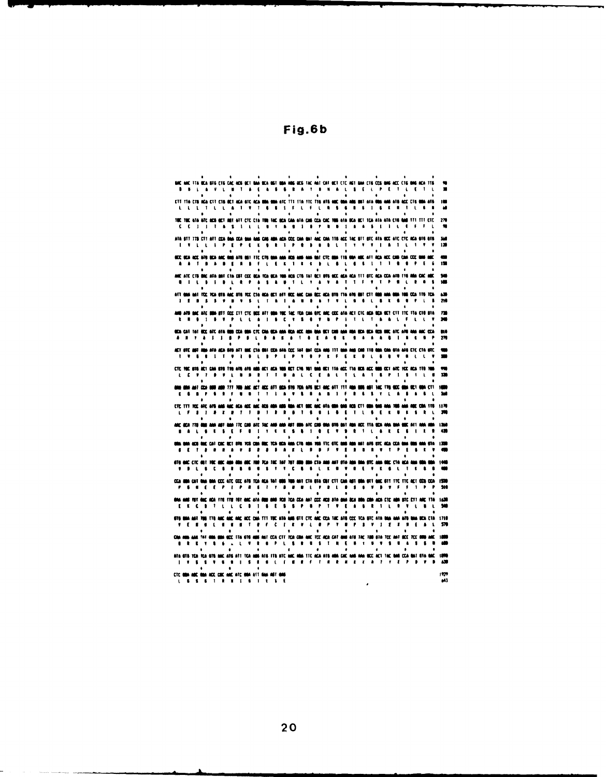BOC AND TTA BOA BTS CITE CAD ART BOA BOA BST BBA ARS GDS TAC ANT CAT BOT CTC AST BAN CTS COS BAS ADD CTS BAS ARA TTS<br>
B B L A V L B T A E A S A P A T B N A L S E L P E T L E T L  $\ddot{ }$ **CTT TTA CTB (EXT CTG BET ACA STC ACA BOA SHA SHA ATC TTTS TTA TTC TTG AT& ABC BAA ABS BAT ATA BOA ARS ACC CTG BOA ATS I BOA ATA I ATA CHARACTER SHA ATA I ATA CHARACTER SHA ATA CHARACTER SHA AFT LA SHA AFT LA SHA AFT LA SH** TOC TOC 6TA ATC ACR OCT ART ATT CTC CTA TOR TAC OCA CAN ATA CAR CCA CAC TOB 6TA OCA OCT TCA ATA ATA CT6 GAS TTT TTT CTC 279 CC3 UT & S 1 L L U Y & B 3 B P U H 1 A A S L I L C F F L ATA STT TER CTS ATT CEA BAS CCA SAN CAR AND CAR HAR ACC CAN SAT AGE CAN THE ACC IST SEC ATS SEC ATS CC ATS ATS THE 149 P. T. IS A R. T. P. C. B. IS A R. T. P. C. B. IS A R. T. T. Y. V. V. I. A. I. L. L. I. V. V. 120<br>SEC R AND ATC CTO ONC ATA BAT CTA CRT CCC WAS TRANSPARED WAS CTO TAT WIT FOR A CALL THE CALL CCC ATO TTO AND CODE AND TREAT ON A SAME OF A SAME OF A SAME OF A SAME OF A SAME OF A SAME OF A SAME OF A SAME OF A SAME OF A SAME OF ATT 600 ANT TCC PCA ST6 ANC ST6 PCC CAR GO ACT AFT SCC AND CAR GOT BY THE ATM SOFT CHARGES THE TOWARD TO THE RESERVE THAT IS A THE RESERVE THAT IS A THE RESERVE THAT IS A THE RESERVE THAT IS A THE RESERVE THAT IS A THAT IS  $\frac{430}{710}$ SCA CAT TO THOSE ARE ATH RED COA BRA CTC CAN BRA AREA MOST CHEM RAN BRIT CAR MAN REAL ROST ROST WAS ARRESTED FOR DRIVING COAL AND COAL AT LATER COAL ARREST OF THE REAL ARREST OF THE REAL ARREST OF THE REAL ARREST OF THE R  $\frac{110}{270}$  $\frac{1}{2}$  and are also associate that there are the second pair  $\frac{1}{2}$  and the second second second second cross and  $\frac{1}{2}$ ÷  $\frac{1}{24}$ 420  $\bullet$ .<br>The end of the time and also and the first fait fait for the and and the and and the and official and the angle of the state of the state of the state of the state of the state of the state of the state of the state of t CCA 889 CAT 898 699 CCC ATS CCC ATS TCA RCA TAT 699 T69 ANT CTA 674 CST CTC CAR AST 699 691 THE TTC ACT CCS CCA 1539<br>  $P$  5 H  $Q$  5 P  $T$  7 H  $S$  5 T  $T$  8 H  $Q$   $T$  5 P  $Q$  5 H  $Q$  5 S  $T$  9 H  $T$  5 T  $T$  5 T  $T$  5 H  $T$ MA AND THE RECADA THE THE THE AND ARR WAS RED TO THE RECALIST ON ANY ORDER AND NOT ARR WAS DRIVING TO THE STATE OF THE TABLE TO A RECALL THE REPAIR OF THE REPAIR OF THE REPAIR OF THE REPAIR OF THE REPAIR OF THE REPAIR OF 500 8TO BAA ANT TON TTO AND AND AND ADD DOA TTT TOD ATA AND STT CTD AND DOA TAD ATO COD TOA BTD ATA DAN ANN ATO BAA DOA DTA 1710 ATA STRITCA TCA STRIANCIATS ATT TCA MOR ATS TTRIATCIANCI AMBITICIACA ATS AMBICACAMA MORINDELT TAC MARICCA MATISTA MACIONA<br>ILI YI SI SI YI SI MILI SI RI MILLI BI RI SI BI RI FI MILLI ALI RI RI RI RI RI PI TI FI PI PI PI ASD

979ء<br>143

 $\lambda$ 

Fig.6b

20

CTC 084 ABC 084 ACC CBC AAC ATC 064 ATT 644 AFT 046<br>L G S G T R H I G I E S E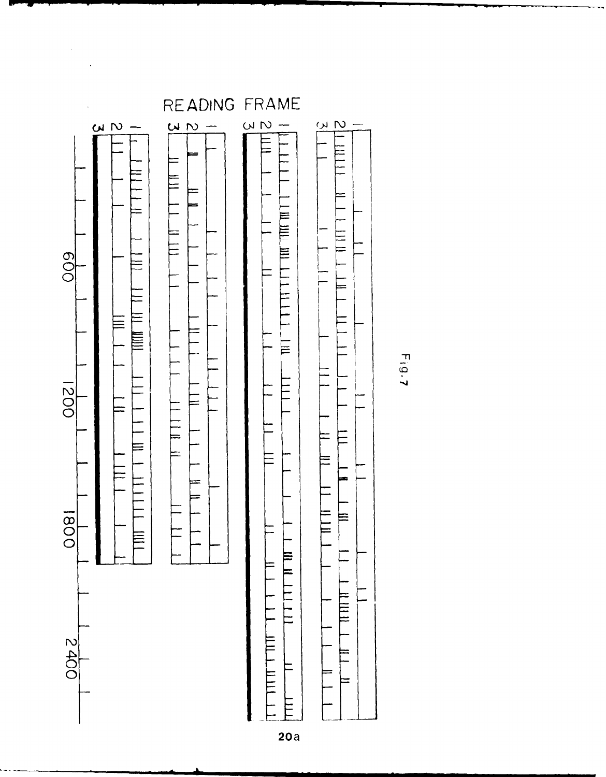

 $\bar{\gamma}$ 

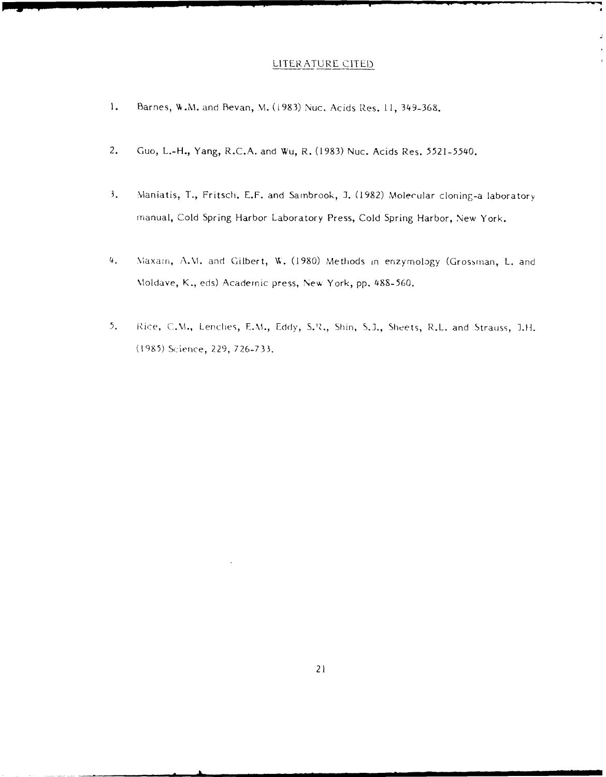### LITERATURE **CITED**

 $\overline{\phantom{a}}$ 

J

- 1. Barnes, W.M. and Bevan, M. (1983) Nuc. Acids Res. 11, 349-368.
- 2. Guo, L.-H., Yang, R.C.A. and Wu, R. **(1983)** Nuc. Acids Res. **5521-5540.**
- **3.** Maniatis, **T.,** Fritsch. **E.F.** and Samnbrook, **J. (1982)** Molecular cloning-a laboratory Manual, Cold Spring Harbor Laboratory Press, Cold Spring Harbor, New York.
- 4. Viaxamn, A.M. and Gilbert, **W. (1980)** Methods in enzymology (Grossman, L. and \Aoidave, K., eds) Academic press, Ne% York, **pp. 488-560.**
- **5.** iRice, C.M., Lenches, E.M., **Eddy, S.'Z.,** Shin, **S.].,** Sheets, R.L. and Strauss, I.H. **(195)** Sc-ience, **229, 726-733.**